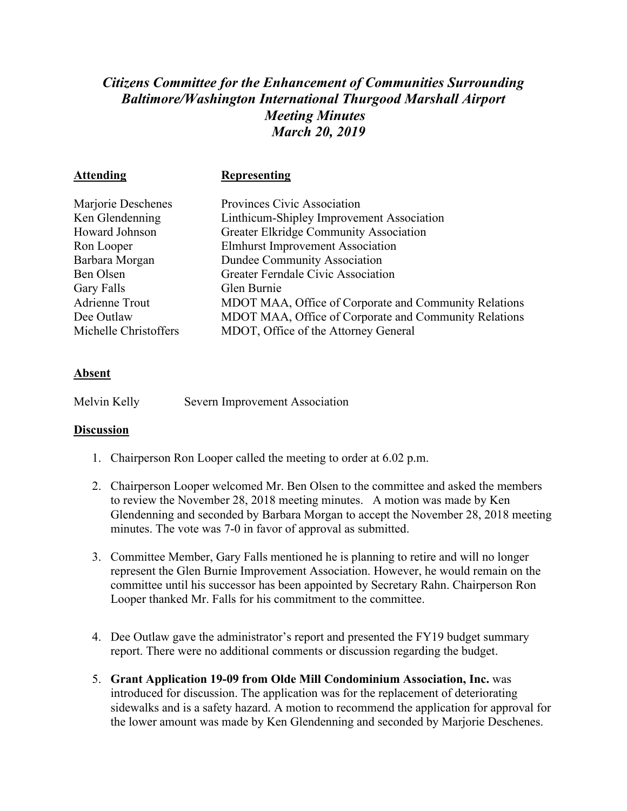## *Citizens Committee for the Enhancement of Communities Surrounding Baltimore/Washington International Thurgood Marshall Airport Meeting Minutes March 20, 2019*

| <b>Representing</b>                                   |
|-------------------------------------------------------|
| Provinces Civic Association                           |
| Linthicum-Shipley Improvement Association             |
| <b>Greater Elkridge Community Association</b>         |
| <b>Elmhurst Improvement Association</b>               |
| Dundee Community Association                          |
| Greater Ferndale Civic Association                    |
| Glen Burnie                                           |
| MDOT MAA, Office of Corporate and Community Relations |
| MDOT MAA, Office of Corporate and Community Relations |
| MDOT, Office of the Attorney General                  |
|                                                       |

## **Absent**

Melvin Kelly Severn Improvement Association

## **Discussion**

- 1. Chairperson Ron Looper called the meeting to order at 6.02 p.m.
- 2. Chairperson Looper welcomed Mr. Ben Olsen to the committee and asked the members to review the November 28, 2018 meeting minutes. A motion was made by Ken Glendenning and seconded by Barbara Morgan to accept the November 28, 2018 meeting minutes. The vote was 7-0 in favor of approval as submitted.
- 3. Committee Member, Gary Falls mentioned he is planning to retire and will no longer represent the Glen Burnie Improvement Association. However, he would remain on the committee until his successor has been appointed by Secretary Rahn. Chairperson Ron Looper thanked Mr. Falls for his commitment to the committee.
- 4. Dee Outlaw gave the administrator's report and presented the FY19 budget summary report. There were no additional comments or discussion regarding the budget.
- 5. **Grant Application 19-09 from Olde Mill Condominium Association, Inc.** was introduced for discussion. The application was for the replacement of deteriorating sidewalks and is a safety hazard. A motion to recommend the application for approval for the lower amount was made by Ken Glendenning and seconded by Marjorie Deschenes.